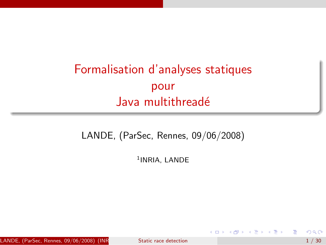# Formalisation d'analyses statiques pour Java multithreadé

LANDE, (ParSec, Rennes, 09/06/2008)

<sup>1</sup>INRIA, LANDE

LANDE, (ParSec, Rennes, 09/06/2008) (INR Static race detection  $1/30$ 

目

<span id="page-0-0"></span>澄後 メ唐を

4 0 8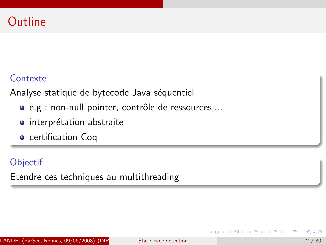# **Outline**

## **Contexte**

Analyse statique de bytecode Java séquentiel

- e.g : non-null pointer, contrôle de ressources,...
- $\bullet$  interprétation abstraite
- **•** certification Coq

## **Objectif**

Etendre ces techniques au multithreading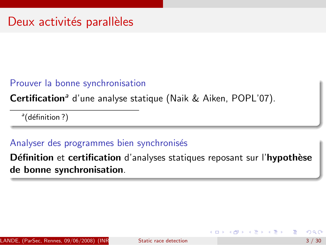#### Prouver la bonne synchronisation

Certification<sup>a</sup> d'une analyse statique (Naik & Aiken, POPL'07).

<sup>a</sup>(définition?)

#### Analyser des programmes bien synchronisés

Définition et certification d'analyses statiques reposant sur l'hypothèse de bonne synchronisation.

化重新 化重新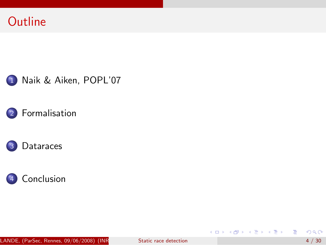









LANDE, (ParSec, Rennes, 09/06/2008) (INR Static race detection  $4/30$ 

活

メロメ メ都 メメ きょくきょ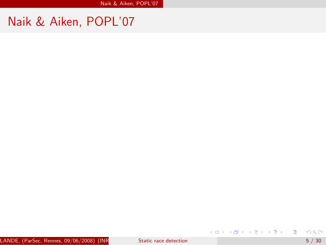# Naik & Aiken, POPL'07

<span id="page-4-0"></span>重

イロト イ部 トイモト イモト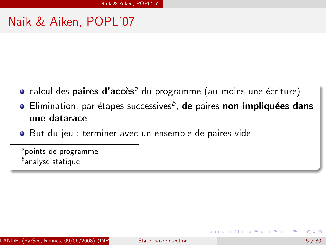## Naik & Aiken, POPL'07

- $\bullet$  calcul des **paires d'accès**<sup>a</sup> du programme (au moins une écriture)
- Elimination, par étapes successives<sup>b</sup>, **de** paires non impliquées dans une datarace
- But du jeu : terminer avec un ensemble de paires vide

<sup>a</sup>points de programme  $^b$ analyse statique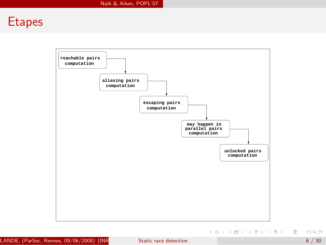## **Etapes**

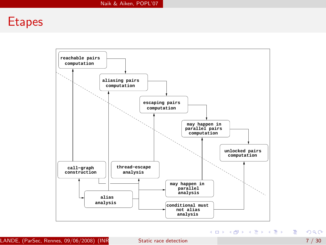## **Etapes**

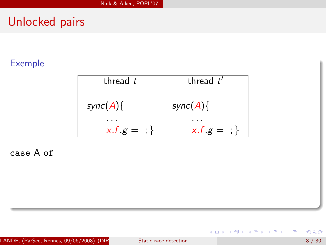## Exemple

| thread t     | thread $t'$           |
|--------------|-----------------------|
| $sync(A)$ {  | $sync(A)$ {           |
|              |                       |
| $x.f.g = .;$ | $x.f.g = \frac{1}{x}$ |

case A of

重

イロト イ部 トイモト イモト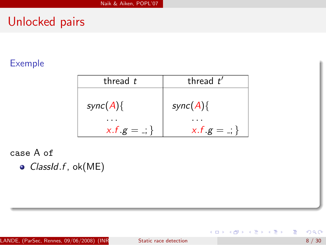#### Exemple

| thread $t$            | thread $t'$           |
|-----------------------|-----------------------|
| $sync(A)$ {           | $sync(A)$ {           |
| $x.f.g = \frac{1}{x}$ | $x.f.g = \frac{1}{x}$ |

case A of

 $\bullet$  ClassId.f, ok(ME)

活

イロト イ部 トイヨ トイヨト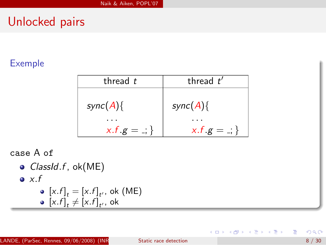## Exemple

| thread $t$            | thread $t'$           |
|-----------------------|-----------------------|
| $sync(A)$ {           | $sync(A)$ {           |
|                       |                       |
| $x.f.g = \frac{1}{x}$ | $x.f.g = \frac{1}{x}$ |

case A of

\n- $$
ClassId.f
$$
,  $ok(ME)$
\n- $x.f$
\n- $[x.f]_t = [x.f]_{t'},$ ,  $ok(ME)$
\n- $[x.f]_t \neq [x.f]_{t'},$ ,  $ok$
\n

重

イロト イ部 トイモト イモト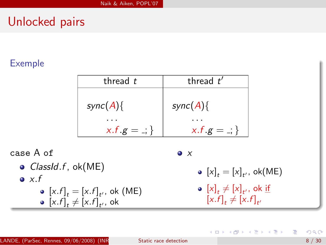#### Exemple

| thread $t$            | thread $t'$           |
|-----------------------|-----------------------|
| $sync(A)$ {           | $sync(A)$ {           |
|                       |                       |
| $x.f.g = \frac{1}{x}$ | $x.f.g = \frac{1}{x}$ |

case A of  $\bullet$  *ClassId.f, ok(ME)*  $\bullet x.f$  $[x.f]_t = [x.f]_{t'}$ , ok (ME)  $[x.f]_t \neq [x.f]_{t'}$ , ok

 $\bullet$  x

 $[x]_t = [x]_{t'}$ , ok(ME)

メ都 トメミトメミト

$$
\begin{aligned} \n\bullet \ [x]_t \neq [x]_{t'}, \text{ ok } \underline{\text{if}}\\ \n[x.f]_t \neq [x.f]_{t'} \n\end{aligned}
$$

4 0 8

目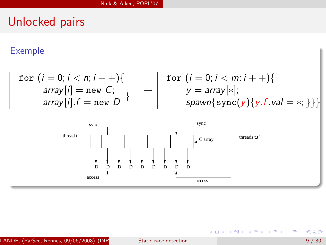#### Exemple

$$
\begin{array}{c|c|c|c|c} \text{for } (i = 0; i < n; i++) \{ & \text{array}[i] = \text{new } C; & & \rightarrow & \text{for } (i = 0; i < m; i++) \{ & \text{array}[i] = \text{new } C; & & \rightarrow & \text{array}[\ast]; & \text{array}[i] \text{, } f = \text{new } D \} \end{array}
$$



重

メロメ メ都 メメ きょくきょ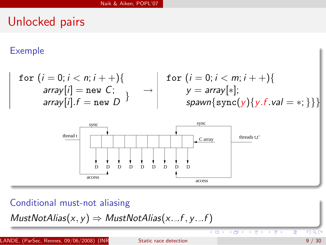#### Exemple

$$
\begin{array}{c|c|c|c|c} \text{for } (i = 0; i < n; i++) \{ & \text{for } (i = 0; i < m; i++) \{ & \text{array}[i] = \text{new } C; & & \rightarrow & \text{array}[\ast]; \\ \text{array}[i] \text{if } = \text{new } D & & & \rightarrow & \text{spawn} \{ \text{sync}(y) \{ y.f.val = *; \} \} \} \end{array}
$$



 $\Box$ 

4 FV

T

Conditional must-not aliasing

 $MustNotAlias(x, y) \Rightarrow MustNotAlias(x...f, y...f)$ 

LANDE, (ParSec, Rennes, 09/06/2008) (INR Static race detection 9 / 30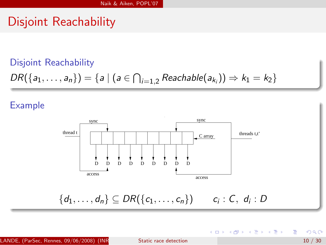## Disjoint Reachability

#### Disjoint Reachability

 $DR({a_1, ..., a_n}) = {a | (a \in \bigcap_{i=1,2} Reachable(a_{k_i})) \Rightarrow k_1 = k_2}$ 

#### Example



LANDE, (ParSec, Rennes, 09/06/2008) (INR  $\overline{\phantom{a}}$ Static race detection  $\overline{\phantom{a}}$  10 / 30

э

イロト イ押ト イヨト イヨト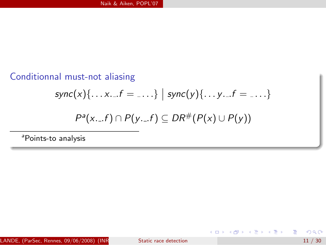## Conditionnal must-not aliasing

$$
sync(x){\ldots x...f} = \ldots} \mid sync(y){\ldots y...f} = \ldots
$$

$$
P^a(x...f) \cap P(y...f) \subseteq DR^{\#}(P(x) \cup P(y))
$$

<sup>a</sup>Points-to analysis

重

イロト イ部 トイヨ トイヨト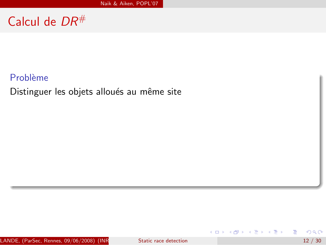# Calcul de DR#

#### Problème

Distinguer les objets alloués au même site

活

イロト イ部 トイヨ トイヨト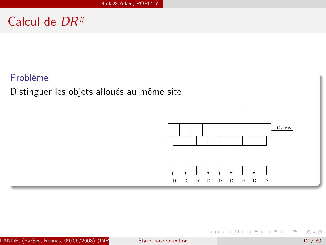# Calcul de DR#

#### Problème

Distinguer les objets alloués au même site



K ロト K 倒 ト K ヨ ト K ヨ ト

活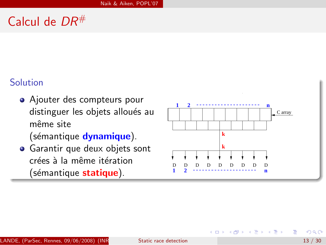# Calcul de  $DR^{\#}$

#### Solution

- Ajouter des compteurs pour distinguer les objets alloués au même site (sémantique dynamique).
- Garantir que deux objets sont crées à la même itération (sémantique statique).



Gradual Gradua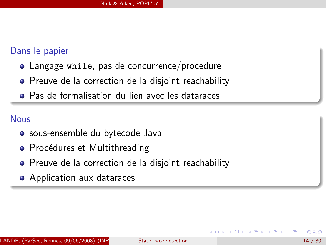#### Dans le papier

- Langage while, pas de concurrence/procedure
- Preuve de la correction de la disjoint reachability
- Pas de formalisation du lien avec les dataraces

#### Nous

- sous-ensemble du bytecode Java
- Procédures et Multithreading
- **•** Preuve de la correction de la disjoint reachability
- Application aux dataraces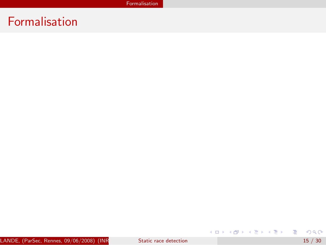# Formalisation

<span id="page-20-0"></span>メロトメ 御 トメ 君 トメ 君 トッ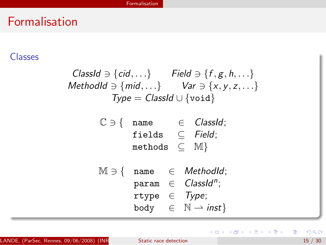## Formalisation

#### Classes

\n
$$
\text{ClassId} \ni \{ \text{cid}, \ldots \}
$$
\n*Field*\n $\ni \{ f, g, h, \ldots \}$ \n

\n\n $\text{MethodId} \ni \{ \text{mid}, \ldots \}$ \n*Var*\n $\ni \{ x, y, z, \ldots \}$ \n

\n\n $\text{Type} = \text{ClassId} \cup \{ \text{void} \}$ \n

$$
\begin{array}{rcl} \mathbb{C} \ni \{ & \text{name} & \in \text{ClassId}; \\ & \text{fields} & \subseteq \text{Field}; \\ & \text{methods} & \subseteq \mathbb{M} \} \end{array}
$$

 $M \ni \{$  name  $\in$  MethodId; param ∈ *ClassId*<sup>n</sup>; rtype  $\in$  Type; body  $\in \mathbb{N} \rightarrow \text{inst}$ 

重

メロメ メ都 メメ きょくきょ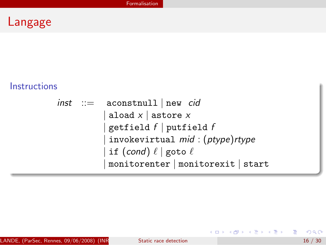# Langage

#### **Instructions**

```
\n
$$
\begin{array}{rcl}\n\text{inst} & ::= & \text{a} \text{constant}11 \mid \text{new} \quad \text{cid} \\
& | \text{a} \text{load} \times | \text{astrore} \times \\
& | \text{getfield } f | \text{putfield } f \\
& | \text{invokevirtual} \quad \text{mid} \quad ( \text{ptype} ) \text{rtype} \\
& | \text{if} \quad (\text{cond}) \quad \ell \mid \text{goto} \quad \ell \\
& | \text{monitorenter} \mid \text{monitorexit} | \text{start} \n\end{array}
$$
\n
```

LANDE, (ParSec, Rennes,  $09/06/2008$ ) (INR<br>Static race detection 16 / 30

重

K ロ ▶ K 個 ▶ K 君 ▶ K 君 ▶ ...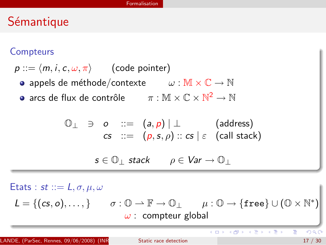#### **Compteurs**

 $p ::= \langle m, i, c, \omega, \pi \rangle$  (code pointer)

- appels de méthode/contexte  $\omega : \mathbb{M} \times \mathbb{C} \to \mathbb{N}$
- arcs de flux de contrôle  $\pi:\mathbb{M}\times\mathbb{C}\times\mathbb{N}^2\to\mathbb{N}$

$$
\begin{array}{ccc}\n\mathbb{O}_{\perp} & \ni & o & ::= & (a, p) | \perp & \text{(address)} \\
\mathsf{cs} & ::= & (p, s, \rho) :: \mathsf{cs} | \varepsilon & \text{(call stack)}\n\end{array}
$$

 $s \in \mathbb{O}$  stack  $\rho \in \mathsf{Var} \to \mathbb{O}$ 

Etats : st ::=  $L, \sigma, \mu, \omega$  $L = \{ (cs, o), \dots, \}$   $\sigma : \mathbb{O} \to \mathbb{F} \to \mathbb{O}_{\perp}$   $\mu : \mathbb{O} \to \{ \text{free} \} \cup (\mathbb{O} \times \mathbb{N}^*)$  $\omega$  : compteur global

э

メロト メ都 トメ ヨ トメ ヨト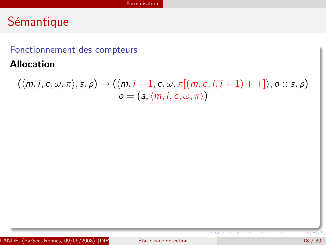#### Fonctionnement des compteurs

Allocation

$$
(\langle m, i, c, \omega, \pi \rangle, s, \rho) \rightarrow (\langle m, i+1, c, \omega, \pi[(m, c, i, i+1)++]\rangle, o:: s, \rho) \no = (a, \langle m, i, c, \omega, \pi \rangle)
$$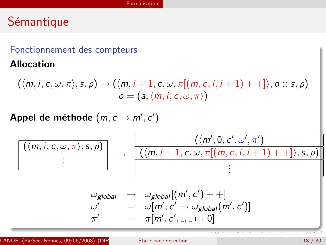#### Fonctionnement des compteurs

Allocation

$$
(\langle m, i, c, \omega, \pi \rangle, s, \rho) \rightarrow (\langle m, i+1, c, \omega, \pi[(m, c, i, i+1)++]\rangle, o:: s, \rho)
$$
  

$$
o = (a, \langle m, i, c, \omega, \pi \rangle)
$$

Appel de méthode  $(m, c \rightarrow m', c')$ 

$$
\frac{(\langle m, i, c, \omega, \pi \rangle, s, \rho)}{\vdots} \rightarrow \frac{(\langle m, i+1, c, \omega, \pi[(m, c, i, i+1)++], s, \rho)}{\langle (m, i+1, c, \omega, \pi[(m, c, i, i+1)++], s, \rho)} \rangle}
$$
\n
$$
\omega_{global} \rightarrow \omega_{global}[(m', c') + +]
$$
\n
$$
\omega' = \omega[m', c' \mapsto \omega_{global}(m', c')]
$$
\n
$$
\pi' = \pi[m', c', \dots \mapsto 0]
$$

LANDE, (ParSec, Rennes, 09/06/2008) (INR Static race detection 18 / 30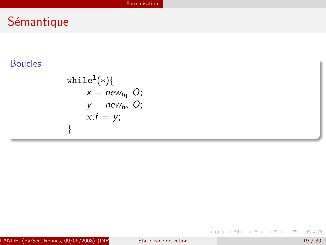## Boucles

$$
\begin{aligned}\n\text{while} & 1(*) \{ \\
x &= \text{new}_{h_1} \text{ } O; \\
y &= \text{new}_{h_2} \text{ } O; \\
x.f &= y; \\
\end{aligned}
$$

LANDE, (ParSec, Rennes,  $09/06/2008$ ) (INR<br>Static race detection 19 / 30

重

メロメ メ都 メメ きょくきょ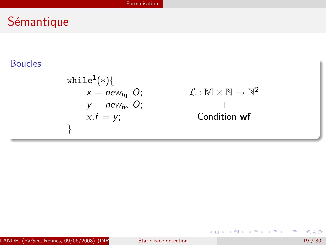## Boucles

$$
\begin{array}{c}\n\text{while}^{1}(*)\{\\
x = new_{h_1} O; \\
y = new_{h_2} O; \\
x.f = y;\n\end{array}\n\qquad\n\begin{array}{c}\n\mathcal{L}: \mathbb{M} \times \mathbb{N} \to \mathbb{N}^2 \\
+ \\
\text{Condition wf}\n\end{array}
$$

LANDE, (ParSec, Rennes,  $09/06/2008$ ) (INR<br>Static race detection 19 / 30

重

メロメ メ都 メメ きょくきょ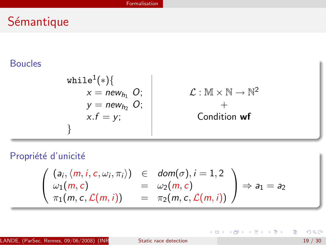## Boucles

$$
\begin{array}{c}\n\text{while} \{ * \} \{ \\
x = new_{h_1} \ O; \\
y = new_{h_2} \ O; \\
x.f = y; \\
\end{array}
$$
\n
$$
\begin{array}{c}\n\mathcal{L} : \mathbb{M} \times \mathbb{N} \to \mathbb{N}^2 \\
+ \\
\text{Condition wf}\n\end{array}
$$

Propriété d'unicité

$$
\left(\begin{array}{ccc} (a_i, \langle m, i, c, \omega_i, \pi_i \rangle) & \in & \mathit{dom}(\sigma), i = 1, 2 \\ \omega_1(m, c) & = & \omega_2(m, c) \\ \pi_1(m, c, \mathcal{L}(m, i)) & = & \pi_2(m, c, \mathcal{L}(m, i)) \end{array}\right) \Rightarrow a_1 = a_2
$$

LANDE, (ParSec, Rennes,  $09/06/2008$ ) (INR<br>Static race detection 19 / 30

重

イロト イ部 トイヨ トイヨト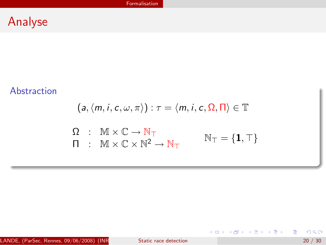#### Abstraction

$$
(a, \langle m, i, c, \omega, \pi \rangle) : \tau = \langle m, i, c, \Omega, \Pi \rangle \in \mathbb{T}
$$
  

$$
\Omega : \mathbb{M} \times \mathbb{C} \to \mathbb{N}_{\top}
$$
  

$$
\Pi : \mathbb{M} \times \mathbb{C} \times \mathbb{N}^2 \to \mathbb{N}_{\top}
$$
  

$$
\mathbb{N}_{\top} = \{1, \top\}
$$

LANDE, (ParSec, Rennes,  $09/06/2008$ ) (INR<br>Static race detection 20 / 30

重

メロトメ 倒 トメ 君 トメ 君 トッ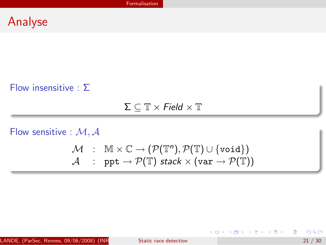#### Flow insensitive :  $\Sigma$

 $\Sigma \subset \mathbb{T} \times \textit{Field} \times \mathbb{T}$ 

Flow sensitive :  $M, A$ 

$$
\begin{array}{rcl} \mathcal{M} & : & \mathbb{M} \times \mathbb{C} \rightarrow \left( \mathcal{P}(\mathbb{T}^n), \mathcal{P}(\mathbb{T}) \cup \{ \text{void} \} \right) \\ \mathcal{A} & : & \text{ppt} \rightarrow \mathcal{P}(\mathbb{T}) \text{ stack} \times (\text{var} \rightarrow \mathcal{P}(\mathbb{T})) \end{array}
$$

LANDE, (ParSec, Rennes, 09/06/2008) (INR Static race detection  $21 / 30$ 

活

イロト イ部 トイヨ トイヨト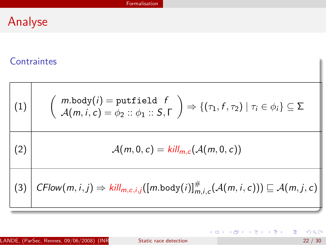#### **Contraintes**

$$
(1)
$$
\n
$$
\left(\begin{array}{c}\nm.\text{body}(i) = \text{putfield } f \\
\mathcal{A}(m, i, c) = \phi_2 :: \phi_1 :: S, \Gamma\end{array}\right) \Rightarrow \left\{(\tau_1, f, \tau_2) \mid \tau_i \in \phi_i\right\} \subseteq \Sigma
$$
\n
$$
(2)
$$
\n
$$
\mathcal{A}(m, 0, c) = \text{kill}_{m, c}(\mathcal{A}(m, 0, c))
$$
\n
$$
(3)
$$
\n
$$
\left(\begin{array}{c}\n\text{CFlow}(m, i, j) \Rightarrow \text{kill}_{m, c, i, j}([\text{m-body}(i)]_{m, i, c}^{\#}(\mathcal{A}(m, i, c))) \sqsubseteq \mathcal{A}(m, j, c)\n\end{array}\right)
$$

画

イロン イ団ン イ君ン イ君ン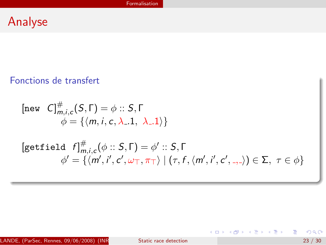#### Fonctions de transfert

$$
\begin{aligned}\n[\text{new } C]_{m,i,c}^{\#}(S,\Gamma) &= \phi :: S,\Gamma \\
\phi &= \{ \langle m, i, c, \lambda_-.1, \lambda_-.1 \rangle \} \\
[\text{getfield } f]_{m,i,c}^{\#}(\phi :: S,\Gamma) &= \phi' :: S,\Gamma \\
\phi' &= \{ \langle m', i', c', \omega_{\top}, \pi_{\top} \rangle \mid (\tau, f, \langle m', i', c', -, \rangle) \in \Sigma, \ \tau \in \phi \}\n\end{aligned}
$$

LANDE, (ParSec, Rennes,  $09/06/2008$ ) (INR<br>Static race detection 23 / 30

重

イロト イ部 トイモト イモト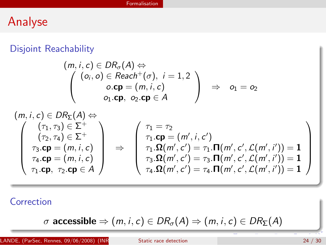## Disjoint Reachability

$$
(m, i, c) \in DR_\sigma(A) \Leftrightarrow \n\begin{pmatrix}\n(o_i, o) \in Real^+(\sigma), & i = 1, 2 \\
o.\textbf{cp} = (m, i, c) \\
o_1.\textbf{cp}, & o_2.\textbf{cp} \in A\n\end{pmatrix} \Rightarrow o_1 = o_2
$$

$$
\begin{pmatrix}\n(\mathsf{m},i,c) \in DR_{\Sigma}(A) \Leftrightarrow \\
(\tau_1, \tau_3) \in \Sigma^+ \\
(\tau_2, \tau_4) \in \Sigma^+ \\
\tau_3.\mathbf{cp} = (m, i, c) \\
\tau_4.\mathbf{cp} = (m, i, c) \\
\tau_1.\mathbf{cp}, \ \tau_2.\mathbf{cp} \in A\n\end{pmatrix}\n\Rightarrow\n\begin{pmatrix}\n\tau_1 = \tau_2 \\
\tau_1.\mathbf{cp} = (m', i, c') \\
\tau_1.\mathbf{cp} = (m', i, c') \\
\tau_3.\mathbf{\Omega}(m', c') = \tau_1.\mathbf{\Pi}(m', c', \mathcal{L}(m', i')) = 1 \\
\tau_4.\mathbf{\Omega}(m', c') = \tau_4.\mathbf{\Pi}(m', c', \mathcal{L}(m', i')) = 1 \\
\tau_4.\mathbf{\Omega}(m', c') = \tau_4.\mathbf{\Pi}(m', c', \mathcal{L}(m', i')) = 1\n\end{pmatrix}
$$

**Correction** 

$$
\sigma \text{ accessible} \Rightarrow (m, i, c) \in DR_{\sigma}(A) \Rightarrow (m, i, c) \in DR_{\Sigma}(A)
$$

LANDE, (ParSec, Rennes,  $09/06/2008$ ) (INR<br>Static race detection 24 / 30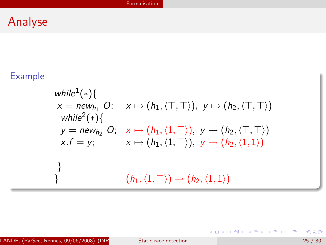## Example

$$
\begin{aligned}\n\text{while}^{1}(\ast) & \{ \\
x = \text{new}_{h_1} O; \quad x \mapsto (h_1, \langle \top, \top \rangle), \ y \mapsto (h_2, \langle \top, \top \rangle) \\
\text{while}^{2}(\ast) & \{ \\
y = \text{new}_{h_2} O; \quad x \mapsto (h_1, \langle 1, \top \rangle), \ y \mapsto (h_2, \langle \top, \top \rangle) \\
x.f = y; \quad x \mapsto (h_1, \langle 1, \top \rangle), \ y \mapsto (h_2, \langle 1, 1 \rangle)\n\end{aligned}
$$

重

メロトメ 倒 トメ 君 トメ 君 トッ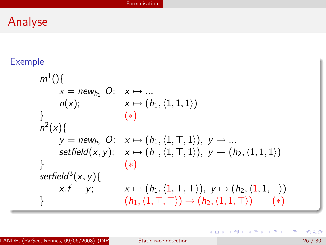## Exemple

$$
m^{1}() \{ \begin{aligned} x &= new_{h_1} O; & x \mapsto \dots \\ n(x); & x \mapsto (h_1, \langle 1, 1, 1 \rangle) \\ \} \\ y &= new_{h_2} O; & x \mapsto (h_1, \langle 1, \top, 1 \rangle), & y \mapsto \dots \\ \text{setfield}(x, y); & x \mapsto (h_1, \langle 1, \top, 1 \rangle), & y \mapsto (h_2, \langle 1, 1, 1 \rangle) \\ \} \\ \text{setfield}^3(x, y) \{ \begin{aligned} x.f &= y; & x \mapsto (h_1, \langle 1, \top, \top \rangle), & y \mapsto (h_2, \langle 1, 1, \top \rangle) \\ (h_1, \langle 1, \top, \top \rangle) & \mapsto (h_2, \langle 1, 1, \top \rangle) \end{aligned} \end{aligned}
$$

Ε

K ロ K K 御 K K 君 K K 君 K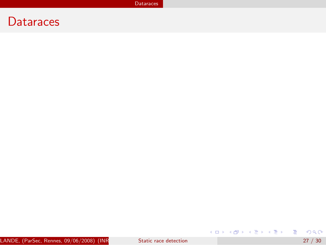## **Dataraces**

<span id="page-36-0"></span>K ロ ▶ K @ ▶ K 할 ▶ K 할 ▶ 이 할 → 900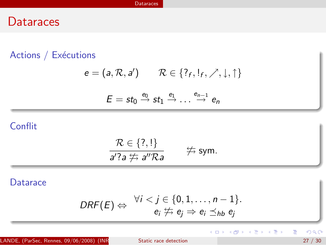## **Dataraces**

#### Actions / Exécutions

$$
e = (a, \mathcal{R}, a') \qquad \mathcal{R} \in \{?_f, !_f, \nearrow, \downarrow, \uparrow\}
$$

$$
E = st_0 \xrightarrow{e_0} st_1 \xrightarrow{e_1} ... \xrightarrow{e_{n-1}} e_n
$$

## **Conflit**

$$
\frac{\mathcal{R}\in\{?,!\}}{a'?\,a \not\leftrightarrows a''\mathcal{R}a} \qquad \nRightarrow \text{sym}.
$$

#### **Datarace**

$$
DRF(E) \Leftrightarrow \begin{array}{c} \forall i < j \in \{0, 1, \ldots, n-1\}. \\ e_i \not\Rightarrow e_j \Rightarrow e_i \preceq_{hb} e_j \end{array}
$$

LANDE, (ParSec, Rennes, 09/06/2008) (INR<br>In the Static race detection 27 / 30 and 27 / 30

画

メロト メタト メミト メミト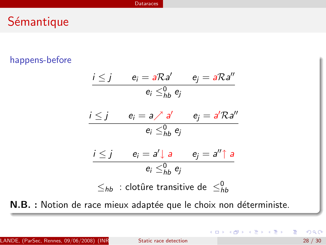## Sémantique

#### happens-before

$$
\begin{array}{ll}\ni \leq j & e_i = a \mathcal{R}a' & e_j = a \mathcal{R}a'' \\
\hline\n & e_i \leq_{hb}^0 e_j\n\end{array}
$$
\n
$$
\begin{array}{ll}\ni \leq j & e_i = a \nearrow a' & e_j = a' \mathcal{R}a'' \\
& e_i \leq_{hb}^0 e_j\n\end{array}
$$
\n
$$
\begin{array}{ll}\ni \leq j & e_i = a' \downarrow a & e_j = a'' \uparrow a \\
& e_i \leq_{hb}^0 e_j\n\end{array}
$$
\n
$$
\leq_{hb} : \text{clotûre transitive de } \leq_{hb}^0
$$

N.B. : Notion de race mieux adaptée que le choix non déterministe.

э

イロト イ部 トイヨ トイヨト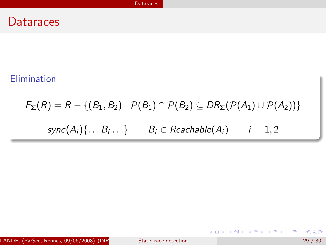#### Elimination

# $F_{\Sigma}(R) = R - \{(B_1, B_2) | P(B_1) \cap P(B_2) \subseteq DR_{\Sigma}(P(A_1) \cup P(A_2))\}$  $\mathsf{sync}(A_i) \{ \dots B_i \dots \}$   $B_i \in \mathsf{Reachable}(A_i)$   $i = 1, 2$

LANDE, (ParSec, Rennes, 09/06/2008) (INR Static race detection  $29/30$ 

イロン イ部ン イ君ン イ君ン 一番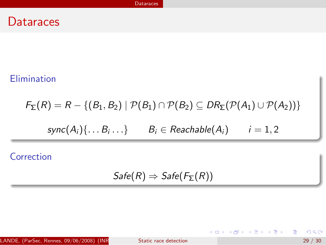## Elimination

$$
F_{\Sigma}(R) = R - \{(B_1, B_2) \mid \mathcal{P}(B_1) \cap \mathcal{P}(B_2) \subseteq DR_{\Sigma}(\mathcal{P}(A_1) \cup \mathcal{P}(A_2))\}
$$
  
 
$$
sync(A_i) \{ \dots B_i \dots \} \qquad B_i \in Reachable(A_i) \qquad i = 1, 2
$$

Correction

$$
Safe(R) \Rightarrow Safe(F_{\Sigma}(R))
$$

LANDE, (ParSec, Rennes,  $09/06/2008$ ) (INR<br>Static race detection 29 / 30

 $2990$ 

重

イロト イ部 トイ活 トイ活 トー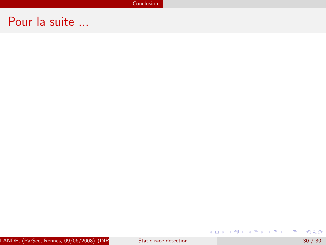**Conclusion** 

## Pour la suite ...

<span id="page-41-0"></span>イロト イ部 トイモト イモト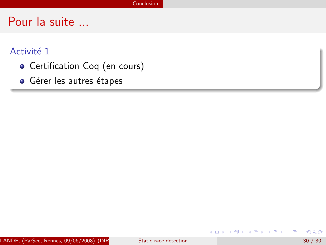#### Activité 1

- Certification Coq (en cours)
- **·** Gérer les autres étapes

÷

イロト イ押ト イラト イラト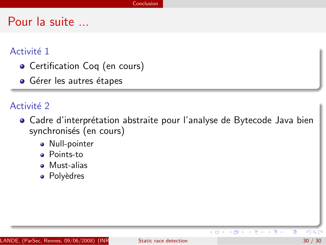#### Activité 1

- Certification Coq (en cours)
- Gérer les autres étapes

#### Activité 2

- Cadre d'interprétation abstraite pour l'analyse de Bytecode Java bien synchronisés (en cours)
	- Null-pointer
	- **•** Points-to
	- **Must-alias**
	- Polyèdres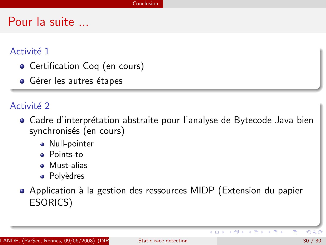#### Activité 1

- Certification Coq (en cours)
- Gérer les autres étapes

#### Activité 2

- Cadre d'interprétation abstraite pour l'analyse de Bytecode Java bien synchronisés (en cours)
	- Null-pointer
	- **•** Points-to
	- **•** Must-alias
	- Polyèdres
- Application à la gestion des ressources MIDP (Extension du papier ESORICS)